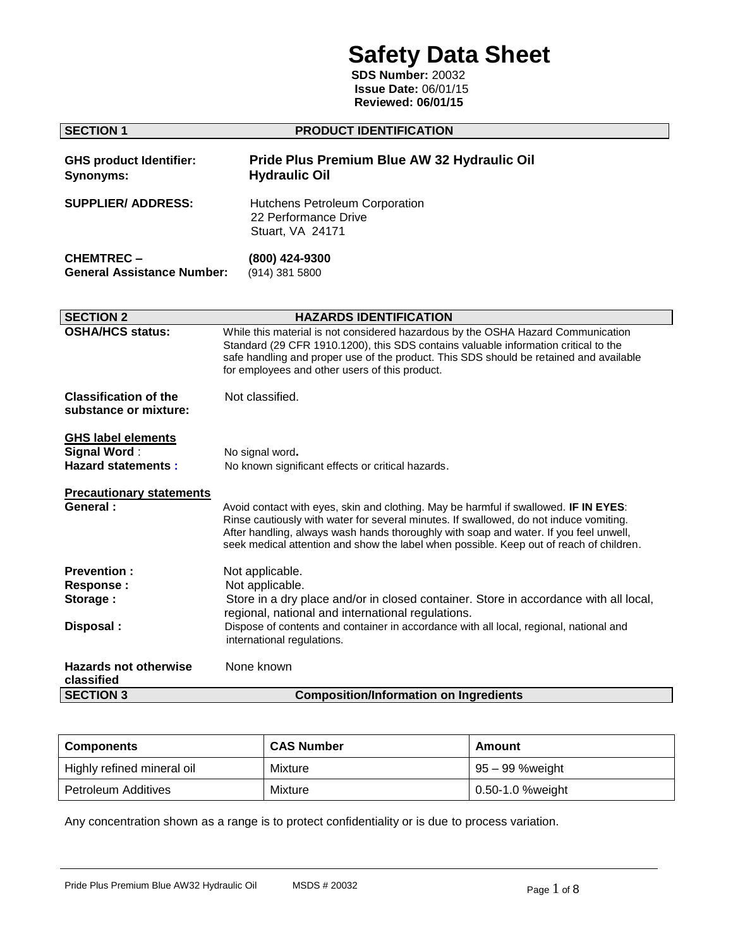# **Safety Data Sheet**

 **SDS Number:** 20032  **Issue Date:** 06/01/15  **Reviewed: 06/01/15**

| <b>SECTION 1</b>                                                              | <b>PRODUCT IDENTIFICATION</b>                                                                                                                                                                                                                                                                                                                                      |  |  |  |
|-------------------------------------------------------------------------------|--------------------------------------------------------------------------------------------------------------------------------------------------------------------------------------------------------------------------------------------------------------------------------------------------------------------------------------------------------------------|--|--|--|
| <b>GHS product Identifier:</b><br><b>Synonyms:</b>                            | Pride Plus Premium Blue AW 32 Hydraulic Oil<br><b>Hydraulic Oil</b>                                                                                                                                                                                                                                                                                                |  |  |  |
| <b>SUPPLIER/ ADDRESS:</b>                                                     | Hutchens Petroleum Corporation<br>22 Performance Drive<br>Stuart, VA 24171                                                                                                                                                                                                                                                                                         |  |  |  |
| <b>CHEMTREC-</b><br><b>General Assistance Number:</b>                         | (800) 424-9300<br>(914) 381 5800                                                                                                                                                                                                                                                                                                                                   |  |  |  |
| <b>SECTION 2</b>                                                              | <b>HAZARDS IDENTIFICATION</b>                                                                                                                                                                                                                                                                                                                                      |  |  |  |
| <b>OSHA/HCS status:</b>                                                       | While this material is not considered hazardous by the OSHA Hazard Communication<br>Standard (29 CFR 1910.1200), this SDS contains valuable information critical to the<br>safe handling and proper use of the product. This SDS should be retained and available<br>for employees and other users of this product.                                                |  |  |  |
| <b>Classification of the</b><br>substance or mixture:                         | Not classified.                                                                                                                                                                                                                                                                                                                                                    |  |  |  |
| <b>GHS label elements</b><br><b>Signal Word:</b><br><b>Hazard statements:</b> | No signal word.<br>No known significant effects or critical hazards.                                                                                                                                                                                                                                                                                               |  |  |  |
| <b>Precautionary statements</b><br>General:                                   | Avoid contact with eyes, skin and clothing. May be harmful if swallowed. IF IN EYES:<br>Rinse cautiously with water for several minutes. If swallowed, do not induce vomiting.<br>After handling, always wash hands thoroughly with soap and water. If you feel unwell,<br>seek medical attention and show the label when possible. Keep out of reach of children. |  |  |  |
| <b>Prevention:</b><br><b>Response:</b><br>Storage:                            | Not applicable.<br>Not applicable.<br>Store in a dry place and/or in closed container. Store in accordance with all local,<br>regional, national and international regulations.                                                                                                                                                                                    |  |  |  |
| Disposal:                                                                     | Dispose of contents and container in accordance with all local, regional, national and<br>international regulations.                                                                                                                                                                                                                                               |  |  |  |
| <b>Hazards not otherwise</b><br>classified                                    | None known                                                                                                                                                                                                                                                                                                                                                         |  |  |  |
| <b>SECTION 3</b>                                                              | <b>Composition/Information on Ingredients</b>                                                                                                                                                                                                                                                                                                                      |  |  |  |

| <b>Components</b>          | <b>CAS Number</b> | Amount           |  |
|----------------------------|-------------------|------------------|--|
| Highly refined mineral oil | Mixture           | 95 – 99 %weight  |  |
| Petroleum Additives        | Mixture           | 0.50-1.0 %weight |  |

Any concentration shown as a range is to protect confidentiality or is due to process variation.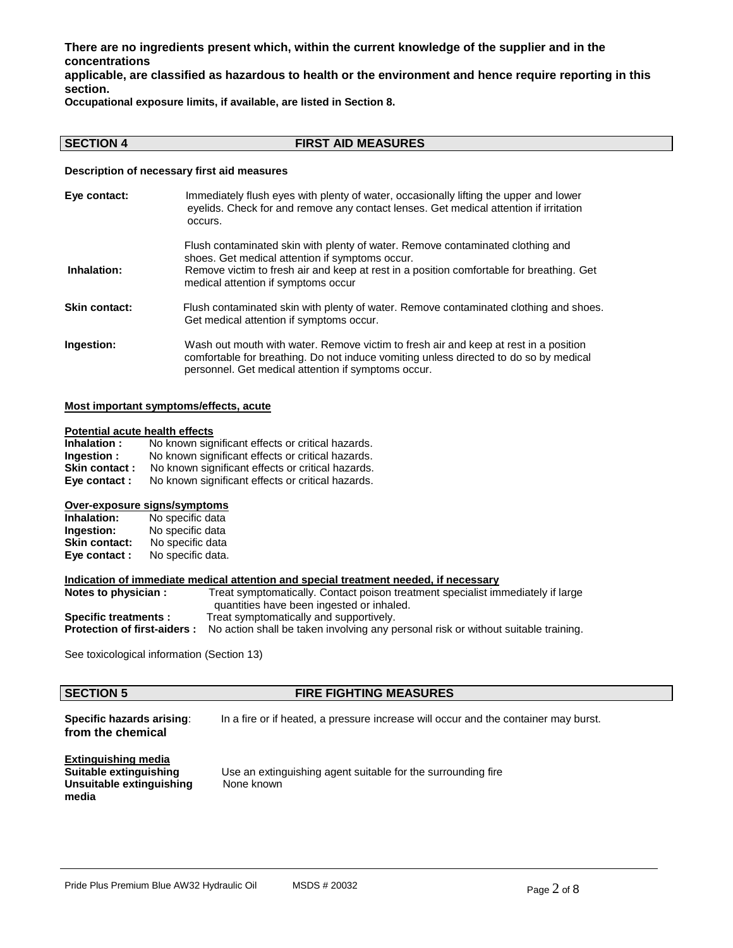**There are no ingredients present which, within the current knowledge of the supplier and in the concentrations**

**applicable, are classified as hazardous to health or the environment and hence require reporting in this section.**

**Occupational exposure limits, if available, are listed in Section 8.**

## **SECTION 4 FIRST AID MEASURES**

**Description of necessary first aid measures**

| Eye contact:  | Immediately flush eyes with plenty of water, occasionally lifting the upper and lower<br>eyelids. Check for and remove any contact lenses. Get medical attention if irritation<br>occurs.                                                                            |
|---------------|----------------------------------------------------------------------------------------------------------------------------------------------------------------------------------------------------------------------------------------------------------------------|
| Inhalation:   | Flush contaminated skin with plenty of water. Remove contaminated clothing and<br>shoes. Get medical attention if symptoms occur.<br>Remove victim to fresh air and keep at rest in a position comfortable for breathing. Get<br>medical attention if symptoms occur |
| Skin contact: | Flush contaminated skin with plenty of water. Remove contaminated clothing and shoes.<br>Get medical attention if symptoms occur.                                                                                                                                    |
| Ingestion:    | Wash out mouth with water. Remove victim to fresh air and keep at rest in a position<br>comfortable for breathing. Do not induce vomiting unless directed to do so by medical<br>personnel. Get medical attention if symptoms occur.                                 |

## **Most important symptoms/effects, acute**

### **Potential acute health effects**

| Inhalation:   | No known significant effects or critical hazards. |
|---------------|---------------------------------------------------|
| Ingestion :   | No known significant effects or critical hazards. |
| Skin contact: | No known significant effects or critical hazards. |
| Eye contact : | No known significant effects or critical hazards. |

### **Over-exposure signs/symptoms**

| Inhalation:          | No specific data  |
|----------------------|-------------------|
| Ingestion:           | No specific data  |
| <b>Skin contact:</b> | No specific data  |
| Eye contact:         | No specific data. |

## **Indication of immediate medical attention and special treatment needed, if necessary**

| Notes to physician :               | Treat symptomatically. Contact poison treatment specialist immediately if large    |  |  |  |  |
|------------------------------------|------------------------------------------------------------------------------------|--|--|--|--|
|                                    | quantities have been ingested or inhaled.                                          |  |  |  |  |
| <b>Specific treatments:</b>        | Treat symptomatically and supportively.                                            |  |  |  |  |
| <b>Protection of first-aiders:</b> | No action shall be taken involving any personal risk or without suitable training. |  |  |  |  |

See toxicological information (Section 13)

## **SECTION 5 FIRE FIGHTING MEASURES**

**Specific hazards arising:** In a fire or if heated, a pressure increase will occur and the container may burst. **from the chemical**

## **Extinguishing media Unsuitable extinguishing media**

Use an extinguishing agent suitable for the surrounding fire None known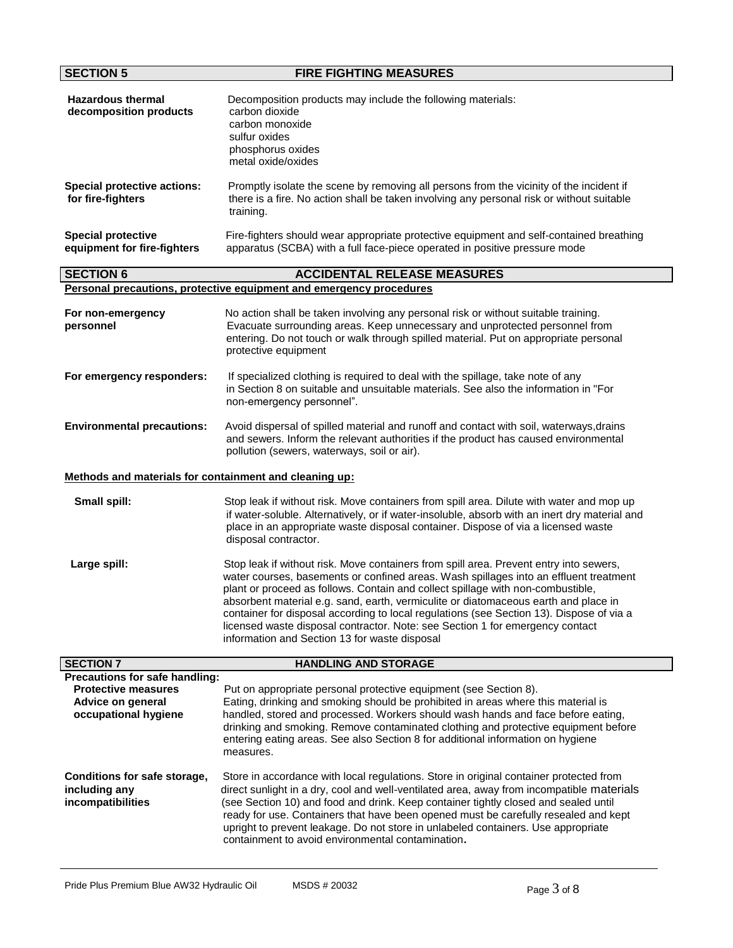| <b>SECTION 5</b>                                                                                          | <b>FIRE FIGHTING MEASURES</b>                                                                                                                                                                                                                                                                                                                                                                                                                                                                                                                                                           |  |  |  |
|-----------------------------------------------------------------------------------------------------------|-----------------------------------------------------------------------------------------------------------------------------------------------------------------------------------------------------------------------------------------------------------------------------------------------------------------------------------------------------------------------------------------------------------------------------------------------------------------------------------------------------------------------------------------------------------------------------------------|--|--|--|
| <b>Hazardous thermal</b><br>decomposition products                                                        | Decomposition products may include the following materials:<br>carbon dioxide<br>carbon monoxide<br>sulfur oxides<br>phosphorus oxides<br>metal oxide/oxides                                                                                                                                                                                                                                                                                                                                                                                                                            |  |  |  |
| <b>Special protective actions:</b><br>for fire-fighters                                                   | Promptly isolate the scene by removing all persons from the vicinity of the incident if<br>there is a fire. No action shall be taken involving any personal risk or without suitable<br>training.                                                                                                                                                                                                                                                                                                                                                                                       |  |  |  |
| <b>Special protective</b><br>equipment for fire-fighters                                                  | Fire-fighters should wear appropriate protective equipment and self-contained breathing<br>apparatus (SCBA) with a full face-piece operated in positive pressure mode                                                                                                                                                                                                                                                                                                                                                                                                                   |  |  |  |
| <b>SECTION 6</b>                                                                                          | <b>ACCIDENTAL RELEASE MEASURES</b>                                                                                                                                                                                                                                                                                                                                                                                                                                                                                                                                                      |  |  |  |
|                                                                                                           | Personal precautions, protective equipment and emergency procedures                                                                                                                                                                                                                                                                                                                                                                                                                                                                                                                     |  |  |  |
| For non-emergency<br>personnel                                                                            | No action shall be taken involving any personal risk or without suitable training.<br>Evacuate surrounding areas. Keep unnecessary and unprotected personnel from<br>entering. Do not touch or walk through spilled material. Put on appropriate personal<br>protective equipment                                                                                                                                                                                                                                                                                                       |  |  |  |
| For emergency responders:                                                                                 | If specialized clothing is required to deal with the spillage, take note of any<br>in Section 8 on suitable and unsuitable materials. See also the information in "For<br>non-emergency personnel".                                                                                                                                                                                                                                                                                                                                                                                     |  |  |  |
| <b>Environmental precautions:</b>                                                                         | Avoid dispersal of spilled material and runoff and contact with soil, waterways, drains<br>and sewers. Inform the relevant authorities if the product has caused environmental<br>pollution (sewers, waterways, soil or air).                                                                                                                                                                                                                                                                                                                                                           |  |  |  |
| Methods and materials for containment and cleaning up:                                                    |                                                                                                                                                                                                                                                                                                                                                                                                                                                                                                                                                                                         |  |  |  |
| Small spill:                                                                                              | Stop leak if without risk. Move containers from spill area. Dilute with water and mop up<br>if water-soluble. Alternatively, or if water-insoluble, absorb with an inert dry material and<br>place in an appropriate waste disposal container. Dispose of via a licensed waste<br>disposal contractor.                                                                                                                                                                                                                                                                                  |  |  |  |
| Large spill:                                                                                              | Stop leak if without risk. Move containers from spill area. Prevent entry into sewers,<br>water courses, basements or confined areas. Wash spillages into an effluent treatment<br>plant or proceed as follows. Contain and collect spillage with non-combustible,<br>absorbent material e.g. sand, earth, vermiculite or diatomaceous earth and place in<br>container for disposal according to local regulations (see Section 13). Dispose of via a<br>licensed waste disposal contractor. Note: see Section 1 for emergency contact<br>information and Section 13 for waste disposal |  |  |  |
| <b>SECTION 7</b>                                                                                          | <b>HANDLING AND STORAGE</b>                                                                                                                                                                                                                                                                                                                                                                                                                                                                                                                                                             |  |  |  |
| Precautions for safe handling:<br><b>Protective measures</b><br>Advice on general<br>occupational hygiene | Put on appropriate personal protective equipment (see Section 8).<br>Eating, drinking and smoking should be prohibited in areas where this material is<br>handled, stored and processed. Workers should wash hands and face before eating,<br>drinking and smoking. Remove contaminated clothing and protective equipment before<br>entering eating areas. See also Section 8 for additional information on hygiene<br>measures.                                                                                                                                                        |  |  |  |
| Conditions for safe storage,<br>including any<br>incompatibilities                                        | Store in accordance with local regulations. Store in original container protected from<br>direct sunlight in a dry, cool and well-ventilated area, away from incompatible materials<br>(see Section 10) and food and drink. Keep container tightly closed and sealed until<br>ready for use. Containers that have been opened must be carefully resealed and kept<br>upright to prevent leakage. Do not store in unlabeled containers. Use appropriate<br>containment to avoid environmental contamination.                                                                             |  |  |  |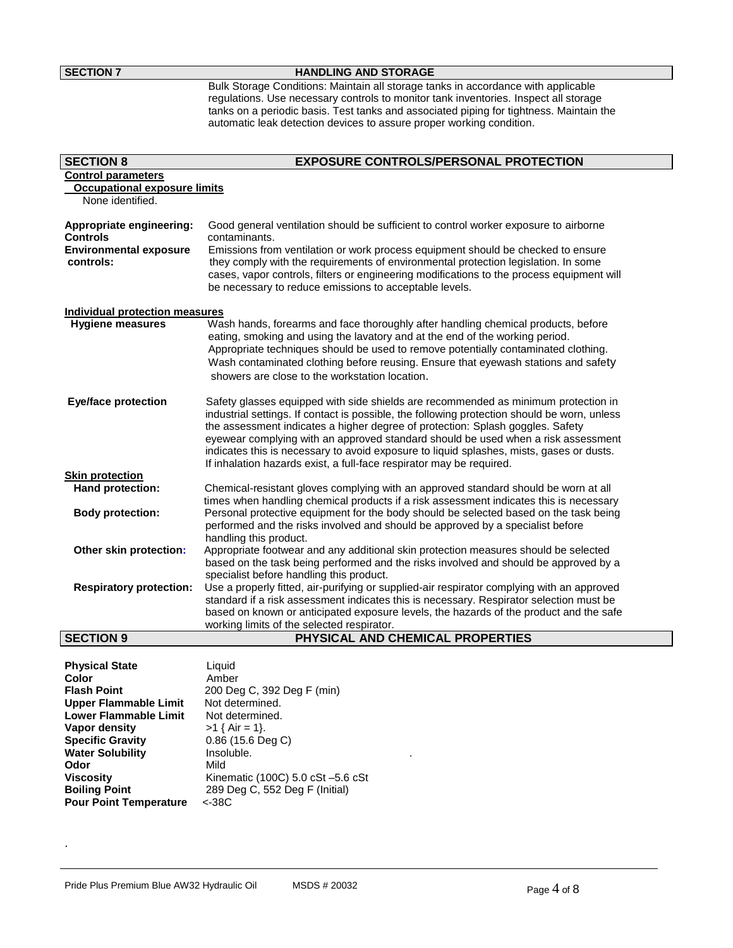## **SECTION 7 HANDLING AND STORAGE**

Bulk Storage Conditions: Maintain all storage tanks in accordance with applicable regulations. Use necessary controls to monitor tank inventories. Inspect all storage tanks on a periodic basis. Test tanks and associated piping for tightness. Maintain the automatic leak detection devices to assure proper working condition.

| <b>SECTION 8</b>                                                                          | <b>EXPOSURE CONTROLS/PERSONAL PROTECTION</b>                                                                                                                                                                                                                                                                                                                                                                                                                                                                                  |  |  |  |
|-------------------------------------------------------------------------------------------|-------------------------------------------------------------------------------------------------------------------------------------------------------------------------------------------------------------------------------------------------------------------------------------------------------------------------------------------------------------------------------------------------------------------------------------------------------------------------------------------------------------------------------|--|--|--|
| <b>Control parameters</b>                                                                 |                                                                                                                                                                                                                                                                                                                                                                                                                                                                                                                               |  |  |  |
| <b>Occupational exposure limits</b>                                                       |                                                                                                                                                                                                                                                                                                                                                                                                                                                                                                                               |  |  |  |
| None identified.                                                                          |                                                                                                                                                                                                                                                                                                                                                                                                                                                                                                                               |  |  |  |
| Appropriate engineering:<br><b>Controls</b><br><b>Environmental exposure</b><br>controls: | Good general ventilation should be sufficient to control worker exposure to airborne<br>contaminants.<br>Emissions from ventilation or work process equipment should be checked to ensure<br>they comply with the requirements of environmental protection legislation. In some                                                                                                                                                                                                                                               |  |  |  |
|                                                                                           | cases, vapor controls, filters or engineering modifications to the process equipment will<br>be necessary to reduce emissions to acceptable levels.                                                                                                                                                                                                                                                                                                                                                                           |  |  |  |
| <b>Individual protection measures</b>                                                     |                                                                                                                                                                                                                                                                                                                                                                                                                                                                                                                               |  |  |  |
| <b>Hygiene measures</b>                                                                   | Wash hands, forearms and face thoroughly after handling chemical products, before<br>eating, smoking and using the lavatory and at the end of the working period.<br>Appropriate techniques should be used to remove potentially contaminated clothing.<br>Wash contaminated clothing before reusing. Ensure that eyewash stations and safety<br>showers are close to the workstation location.                                                                                                                               |  |  |  |
| <b>Eye/face protection</b>                                                                | Safety glasses equipped with side shields are recommended as minimum protection in<br>industrial settings. If contact is possible, the following protection should be worn, unless<br>the assessment indicates a higher degree of protection: Splash goggles. Safety<br>eyewear complying with an approved standard should be used when a risk assessment<br>indicates this is necessary to avoid exposure to liquid splashes, mists, gases or dusts.<br>If inhalation hazards exist, a full-face respirator may be required. |  |  |  |
| <b>Skin protection</b>                                                                    |                                                                                                                                                                                                                                                                                                                                                                                                                                                                                                                               |  |  |  |
| Hand protection:                                                                          | Chemical-resistant gloves complying with an approved standard should be worn at all<br>times when handling chemical products if a risk assessment indicates this is necessary                                                                                                                                                                                                                                                                                                                                                 |  |  |  |
| <b>Body protection:</b>                                                                   | Personal protective equipment for the body should be selected based on the task being<br>performed and the risks involved and should be approved by a specialist before<br>handling this product.                                                                                                                                                                                                                                                                                                                             |  |  |  |
| Other skin protection:                                                                    | Appropriate footwear and any additional skin protection measures should be selected<br>based on the task being performed and the risks involved and should be approved by a<br>specialist before handling this product.                                                                                                                                                                                                                                                                                                       |  |  |  |
| <b>Respiratory protection:</b>                                                            | Use a properly fitted, air-purifying or supplied-air respirator complying with an approved<br>standard if a risk assessment indicates this is necessary. Respirator selection must be                                                                                                                                                                                                                                                                                                                                         |  |  |  |
|                                                                                           | based on known or anticipated exposure levels, the hazards of the product and the safe<br>working limits of the selected respirator.                                                                                                                                                                                                                                                                                                                                                                                          |  |  |  |
| <b>SECTION 9</b>                                                                          | PHYSICAL AND CHEMICAL PROPERTIES                                                                                                                                                                                                                                                                                                                                                                                                                                                                                              |  |  |  |

| <b>Physical State</b>         | Liquid                            |
|-------------------------------|-----------------------------------|
| Color                         | Amber                             |
| <b>Flash Point</b>            | 200 Deg C, 392 Deg F (min)        |
| <b>Upper Flammable Limit</b>  | Not determined.                   |
| Lower Flammable Limit         | Not determined.                   |
| Vapor density                 | $>1$ { Air = 1}.                  |
| <b>Specific Gravity</b>       | $0.86$ (15.6 Deg C)               |
| <b>Water Solubility</b>       | Insoluble.                        |
| Odor                          | Mild                              |
| Viscosity                     | Kinematic (100C) 5.0 cSt -5.6 cSt |
| <b>Boiling Point</b>          | 289 Deg C, 552 Deg F (Initial)    |
| <b>Pour Point Temperature</b> | $<-38C$                           |

.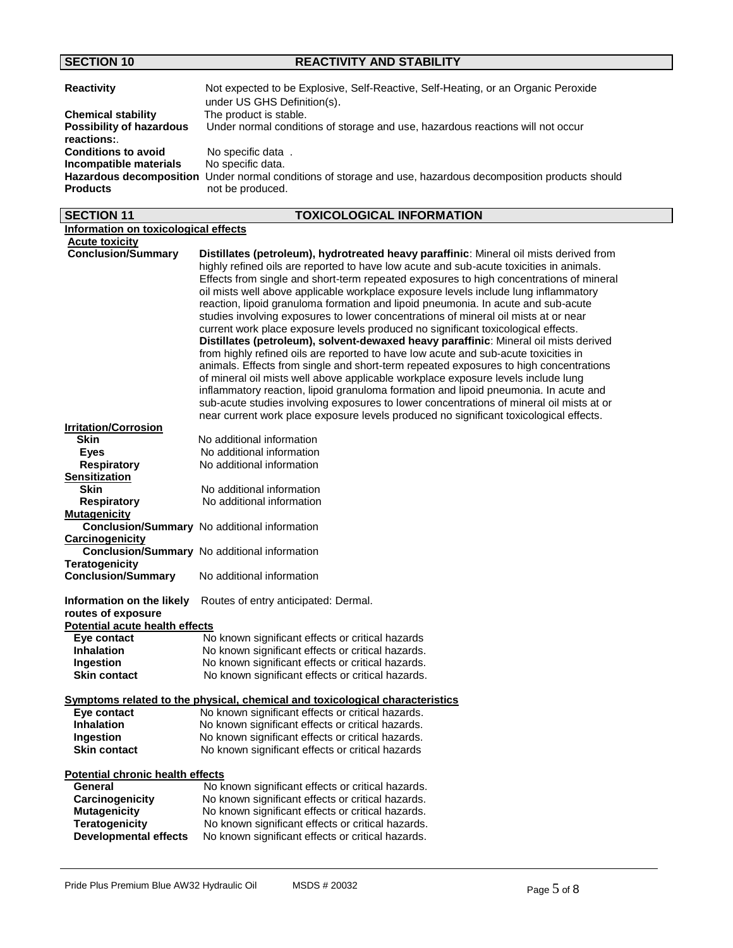## **SECTION 10 REACTIVITY AND STABILITY**

| <b>Reactivity</b>                             | Not expected to be Explosive, Self-Reactive, Self-Heating, or an Organic Peroxide<br>under US GHS Definition(s).                |
|-----------------------------------------------|---------------------------------------------------------------------------------------------------------------------------------|
| <b>Chemical stability</b>                     | The product is stable.                                                                                                          |
| <b>Possibility of hazardous</b><br>reactions: | Under normal conditions of storage and use, hazardous reactions will not occur                                                  |
| <b>Conditions to avoid</b>                    | No specific data.                                                                                                               |
| Incompatible materials                        | No specific data.                                                                                                               |
| <b>Products</b>                               | Hazardous decomposition Under normal conditions of storage and use, hazardous decomposition products should<br>not be produced. |

| <b>SECTION 11</b>                                  | <b>TOXICOLOGICAL INFORMATION</b>                                                                                                                                                                                                                                                                                                                                                                                                                                                                                                                                                                                                        |  |  |
|----------------------------------------------------|-----------------------------------------------------------------------------------------------------------------------------------------------------------------------------------------------------------------------------------------------------------------------------------------------------------------------------------------------------------------------------------------------------------------------------------------------------------------------------------------------------------------------------------------------------------------------------------------------------------------------------------------|--|--|
| Information on toxicological effects               |                                                                                                                                                                                                                                                                                                                                                                                                                                                                                                                                                                                                                                         |  |  |
| <b>Acute toxicity</b>                              |                                                                                                                                                                                                                                                                                                                                                                                                                                                                                                                                                                                                                                         |  |  |
| <b>Conclusion/Summary</b>                          | Distillates (petroleum), hydrotreated heavy paraffinic: Mineral oil mists derived from<br>highly refined oils are reported to have low acute and sub-acute toxicities in animals.<br>Effects from single and short-term repeated exposures to high concentrations of mineral<br>oil mists well above applicable workplace exposure levels include lung inflammatory<br>reaction, lipoid granuloma formation and lipoid pneumonia. In acute and sub-acute<br>studies involving exposures to lower concentrations of mineral oil mists at or near<br>current work place exposure levels produced no significant toxicological effects.    |  |  |
|                                                    | Distillates (petroleum), solvent-dewaxed heavy paraffinic: Mineral oil mists derived<br>from highly refined oils are reported to have low acute and sub-acute toxicities in<br>animals. Effects from single and short-term repeated exposures to high concentrations<br>of mineral oil mists well above applicable workplace exposure levels include lung<br>inflammatory reaction, lipoid granuloma formation and lipoid pneumonia. In acute and<br>sub-acute studies involving exposures to lower concentrations of mineral oil mists at or<br>near current work place exposure levels produced no significant toxicological effects. |  |  |
| <b>Irritation/Corrosion</b>                        |                                                                                                                                                                                                                                                                                                                                                                                                                                                                                                                                                                                                                                         |  |  |
| <b>Skin</b>                                        | No additional information                                                                                                                                                                                                                                                                                                                                                                                                                                                                                                                                                                                                               |  |  |
| <b>Eyes</b>                                        | No additional information                                                                                                                                                                                                                                                                                                                                                                                                                                                                                                                                                                                                               |  |  |
| <b>Respiratory</b>                                 | No additional information                                                                                                                                                                                                                                                                                                                                                                                                                                                                                                                                                                                                               |  |  |
| <b>Sensitization</b>                               |                                                                                                                                                                                                                                                                                                                                                                                                                                                                                                                                                                                                                                         |  |  |
| <b>Skin</b>                                        | No additional information                                                                                                                                                                                                                                                                                                                                                                                                                                                                                                                                                                                                               |  |  |
| <b>Respiratory</b>                                 | No additional information                                                                                                                                                                                                                                                                                                                                                                                                                                                                                                                                                                                                               |  |  |
| <b>Mutagenicity</b>                                | Conclusion/Summary No additional information                                                                                                                                                                                                                                                                                                                                                                                                                                                                                                                                                                                            |  |  |
| Carcinogenicity                                    | <b>Conclusion/Summary</b> No additional information                                                                                                                                                                                                                                                                                                                                                                                                                                                                                                                                                                                     |  |  |
| <b>Teratogenicity</b><br><b>Conclusion/Summary</b> | No additional information                                                                                                                                                                                                                                                                                                                                                                                                                                                                                                                                                                                                               |  |  |
| Information on the likely<br>routes of exposure    | Routes of entry anticipated: Dermal.                                                                                                                                                                                                                                                                                                                                                                                                                                                                                                                                                                                                    |  |  |
| <b>Potential acute health effects</b>              |                                                                                                                                                                                                                                                                                                                                                                                                                                                                                                                                                                                                                                         |  |  |
| Eye contact                                        | No known significant effects or critical hazards                                                                                                                                                                                                                                                                                                                                                                                                                                                                                                                                                                                        |  |  |
| <b>Inhalation</b>                                  | No known significant effects or critical hazards.                                                                                                                                                                                                                                                                                                                                                                                                                                                                                                                                                                                       |  |  |
| Ingestion                                          | No known significant effects or critical hazards.                                                                                                                                                                                                                                                                                                                                                                                                                                                                                                                                                                                       |  |  |
| <b>Skin contact</b>                                | No known significant effects or critical hazards.                                                                                                                                                                                                                                                                                                                                                                                                                                                                                                                                                                                       |  |  |
|                                                    | <b>Symptoms related to the physical, chemical and toxicological characteristics</b>                                                                                                                                                                                                                                                                                                                                                                                                                                                                                                                                                     |  |  |
| Eye contact                                        | No known significant effects or critical hazards.                                                                                                                                                                                                                                                                                                                                                                                                                                                                                                                                                                                       |  |  |
| <b>Inhalation</b>                                  | No known significant effects or critical hazards.                                                                                                                                                                                                                                                                                                                                                                                                                                                                                                                                                                                       |  |  |
| <b>Ingestion</b>                                   | No known significant effects or critical hazards.                                                                                                                                                                                                                                                                                                                                                                                                                                                                                                                                                                                       |  |  |
| <b>Skin contact</b>                                | No known significant effects or critical hazards                                                                                                                                                                                                                                                                                                                                                                                                                                                                                                                                                                                        |  |  |
| <b>Potential chronic health effects</b>            |                                                                                                                                                                                                                                                                                                                                                                                                                                                                                                                                                                                                                                         |  |  |
| General                                            | No known significant effects or critical hazards.                                                                                                                                                                                                                                                                                                                                                                                                                                                                                                                                                                                       |  |  |
| Carcinogenicity                                    | No known significant effects or critical hazards.                                                                                                                                                                                                                                                                                                                                                                                                                                                                                                                                                                                       |  |  |
| <b>Mutagenicity</b>                                | No known significant effects or critical hazards.                                                                                                                                                                                                                                                                                                                                                                                                                                                                                                                                                                                       |  |  |
| <b>Teratogenicity</b>                              | No known significant effects or critical hazards.                                                                                                                                                                                                                                                                                                                                                                                                                                                                                                                                                                                       |  |  |
| <b>Developmental effects</b>                       | No known significant effects or critical hazards.                                                                                                                                                                                                                                                                                                                                                                                                                                                                                                                                                                                       |  |  |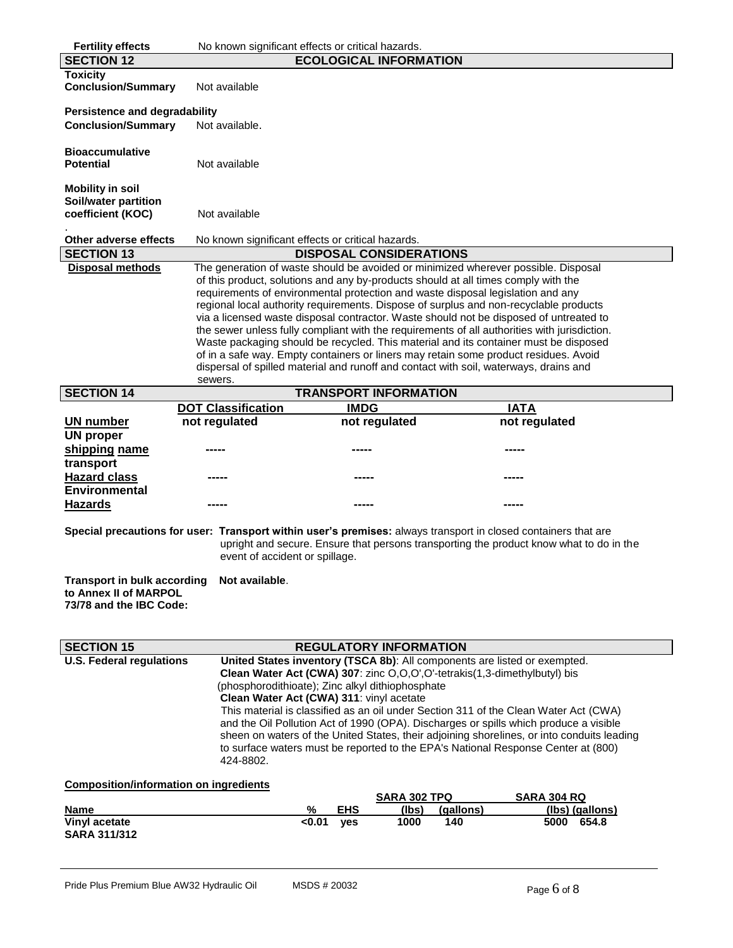| <b>Fertility effects</b>                                                                                                                                                                                                                                                                                                                                                                                                                                                                                                                                                                                                                                                   | No known significant effects or critical hazards.                                                                                                                                                                                                                                                                                                                                                                                                                                                                                                                                                                                                                                                                                                                                                                                  |                                    |                  |                                  |  |
|----------------------------------------------------------------------------------------------------------------------------------------------------------------------------------------------------------------------------------------------------------------------------------------------------------------------------------------------------------------------------------------------------------------------------------------------------------------------------------------------------------------------------------------------------------------------------------------------------------------------------------------------------------------------------|------------------------------------------------------------------------------------------------------------------------------------------------------------------------------------------------------------------------------------------------------------------------------------------------------------------------------------------------------------------------------------------------------------------------------------------------------------------------------------------------------------------------------------------------------------------------------------------------------------------------------------------------------------------------------------------------------------------------------------------------------------------------------------------------------------------------------------|------------------------------------|------------------|----------------------------------|--|
| <b>SECTION 12</b>                                                                                                                                                                                                                                                                                                                                                                                                                                                                                                                                                                                                                                                          |                                                                                                                                                                                                                                                                                                                                                                                                                                                                                                                                                                                                                                                                                                                                                                                                                                    | <b>ECOLOGICAL INFORMATION</b>      |                  |                                  |  |
| <b>Toxicity</b><br><b>Conclusion/Summary</b>                                                                                                                                                                                                                                                                                                                                                                                                                                                                                                                                                                                                                               | Not available                                                                                                                                                                                                                                                                                                                                                                                                                                                                                                                                                                                                                                                                                                                                                                                                                      |                                    |                  |                                  |  |
| <b>Persistence and degradability</b><br><b>Conclusion/Summary</b>                                                                                                                                                                                                                                                                                                                                                                                                                                                                                                                                                                                                          | Not available.                                                                                                                                                                                                                                                                                                                                                                                                                                                                                                                                                                                                                                                                                                                                                                                                                     |                                    |                  |                                  |  |
| <b>Bioaccumulative</b><br><b>Potential</b>                                                                                                                                                                                                                                                                                                                                                                                                                                                                                                                                                                                                                                 | Not available                                                                                                                                                                                                                                                                                                                                                                                                                                                                                                                                                                                                                                                                                                                                                                                                                      |                                    |                  |                                  |  |
| <b>Mobility in soil</b><br>Soil/water partition<br>coefficient (KOC)                                                                                                                                                                                                                                                                                                                                                                                                                                                                                                                                                                                                       | Not available                                                                                                                                                                                                                                                                                                                                                                                                                                                                                                                                                                                                                                                                                                                                                                                                                      |                                    |                  |                                  |  |
| Other adverse effects<br><b>SECTION 13</b>                                                                                                                                                                                                                                                                                                                                                                                                                                                                                                                                                                                                                                 | No known significant effects or critical hazards.                                                                                                                                                                                                                                                                                                                                                                                                                                                                                                                                                                                                                                                                                                                                                                                  | <b>DISPOSAL CONSIDERATIONS</b>     |                  |                                  |  |
| <b>Disposal methods</b>                                                                                                                                                                                                                                                                                                                                                                                                                                                                                                                                                                                                                                                    |                                                                                                                                                                                                                                                                                                                                                                                                                                                                                                                                                                                                                                                                                                                                                                                                                                    |                                    |                  |                                  |  |
|                                                                                                                                                                                                                                                                                                                                                                                                                                                                                                                                                                                                                                                                            | The generation of waste should be avoided or minimized wherever possible. Disposal<br>of this product, solutions and any by-products should at all times comply with the<br>requirements of environmental protection and waste disposal legislation and any<br>regional local authority requirements. Dispose of surplus and non-recyclable products<br>via a licensed waste disposal contractor. Waste should not be disposed of untreated to<br>the sewer unless fully compliant with the requirements of all authorities with jurisdiction.<br>Waste packaging should be recycled. This material and its container must be disposed<br>of in a safe way. Empty containers or liners may retain some product residues. Avoid<br>dispersal of spilled material and runoff and contact with soil, waterways, drains and<br>sewers. |                                    |                  |                                  |  |
| <b>SECTION 14</b>                                                                                                                                                                                                                                                                                                                                                                                                                                                                                                                                                                                                                                                          |                                                                                                                                                                                                                                                                                                                                                                                                                                                                                                                                                                                                                                                                                                                                                                                                                                    | <b>TRANSPORT INFORMATION</b>       |                  |                                  |  |
|                                                                                                                                                                                                                                                                                                                                                                                                                                                                                                                                                                                                                                                                            | <b>DOT Classification</b>                                                                                                                                                                                                                                                                                                                                                                                                                                                                                                                                                                                                                                                                                                                                                                                                          | <b>IMDG</b>                        |                  | <b>IATA</b>                      |  |
| <b>UN number</b>                                                                                                                                                                                                                                                                                                                                                                                                                                                                                                                                                                                                                                                           | not regulated                                                                                                                                                                                                                                                                                                                                                                                                                                                                                                                                                                                                                                                                                                                                                                                                                      | not regulated                      |                  | not regulated                    |  |
| <b>UN proper</b>                                                                                                                                                                                                                                                                                                                                                                                                                                                                                                                                                                                                                                                           |                                                                                                                                                                                                                                                                                                                                                                                                                                                                                                                                                                                                                                                                                                                                                                                                                                    |                                    |                  |                                  |  |
| shipping name<br>transport                                                                                                                                                                                                                                                                                                                                                                                                                                                                                                                                                                                                                                                 |                                                                                                                                                                                                                                                                                                                                                                                                                                                                                                                                                                                                                                                                                                                                                                                                                                    |                                    |                  |                                  |  |
| <b>Hazard class</b><br><b>Environmental</b>                                                                                                                                                                                                                                                                                                                                                                                                                                                                                                                                                                                                                                |                                                                                                                                                                                                                                                                                                                                                                                                                                                                                                                                                                                                                                                                                                                                                                                                                                    |                                    |                  |                                  |  |
| <b>Hazards</b>                                                                                                                                                                                                                                                                                                                                                                                                                                                                                                                                                                                                                                                             |                                                                                                                                                                                                                                                                                                                                                                                                                                                                                                                                                                                                                                                                                                                                                                                                                                    |                                    |                  |                                  |  |
| Special precautions for user: Transport within user's premises: always transport in closed containers that are<br>upright and secure. Ensure that persons transporting the product know what to do in the<br>event of accident or spillage.                                                                                                                                                                                                                                                                                                                                                                                                                                |                                                                                                                                                                                                                                                                                                                                                                                                                                                                                                                                                                                                                                                                                                                                                                                                                                    |                                    |                  |                                  |  |
| <b>Transport in bulk according</b><br>Not available.<br>to Annex II of MARPOL<br>73/78 and the IBC Code:                                                                                                                                                                                                                                                                                                                                                                                                                                                                                                                                                                   |                                                                                                                                                                                                                                                                                                                                                                                                                                                                                                                                                                                                                                                                                                                                                                                                                                    |                                    |                  |                                  |  |
| <b>SECTION 15</b>                                                                                                                                                                                                                                                                                                                                                                                                                                                                                                                                                                                                                                                          |                                                                                                                                                                                                                                                                                                                                                                                                                                                                                                                                                                                                                                                                                                                                                                                                                                    | <b>REGULATORY INFORMATION</b>      |                  |                                  |  |
| <b>U.S. Federal regulations</b><br>United States inventory (TSCA 8b): All components are listed or exempted.<br>Clean Water Act (CWA) 307: zinc O,O,O',O'-tetrakis(1,3-dimethylbutyl) bis<br>(phosphorodithioate); Zinc alkyl dithiophosphate<br>Clean Water Act (CWA) 311: vinyl acetate<br>This material is classified as an oil under Section 311 of the Clean Water Act (CWA)<br>and the Oil Pollution Act of 1990 (OPA). Discharges or spills which produce a visible<br>sheen on waters of the United States, their adjoining shorelines, or into conduits leading<br>to surface waters must be reported to the EPA's National Response Center at (800)<br>424-8802. |                                                                                                                                                                                                                                                                                                                                                                                                                                                                                                                                                                                                                                                                                                                                                                                                                                    |                                    |                  |                                  |  |
| <b>Composition/information on ingredients</b>                                                                                                                                                                                                                                                                                                                                                                                                                                                                                                                                                                                                                              |                                                                                                                                                                                                                                                                                                                                                                                                                                                                                                                                                                                                                                                                                                                                                                                                                                    |                                    |                  |                                  |  |
|                                                                                                                                                                                                                                                                                                                                                                                                                                                                                                                                                                                                                                                                            |                                                                                                                                                                                                                                                                                                                                                                                                                                                                                                                                                                                                                                                                                                                                                                                                                                    | <b>SARA 302 TPQ</b>                |                  | <b>SARA 304 RQ</b>               |  |
| Name<br>Vinyl acetate                                                                                                                                                                                                                                                                                                                                                                                                                                                                                                                                                                                                                                                      | <u>%</u><br>< 0.01                                                                                                                                                                                                                                                                                                                                                                                                                                                                                                                                                                                                                                                                                                                                                                                                                 | <b>EHS</b><br>(lbs)<br>1000<br>yes | (gallons)<br>140 | (lbs) (gallons)<br>654.8<br>5000 |  |
| <b>SARA 311/312</b>                                                                                                                                                                                                                                                                                                                                                                                                                                                                                                                                                                                                                                                        |                                                                                                                                                                                                                                                                                                                                                                                                                                                                                                                                                                                                                                                                                                                                                                                                                                    |                                    |                  |                                  |  |
|                                                                                                                                                                                                                                                                                                                                                                                                                                                                                                                                                                                                                                                                            |                                                                                                                                                                                                                                                                                                                                                                                                                                                                                                                                                                                                                                                                                                                                                                                                                                    |                                    |                  |                                  |  |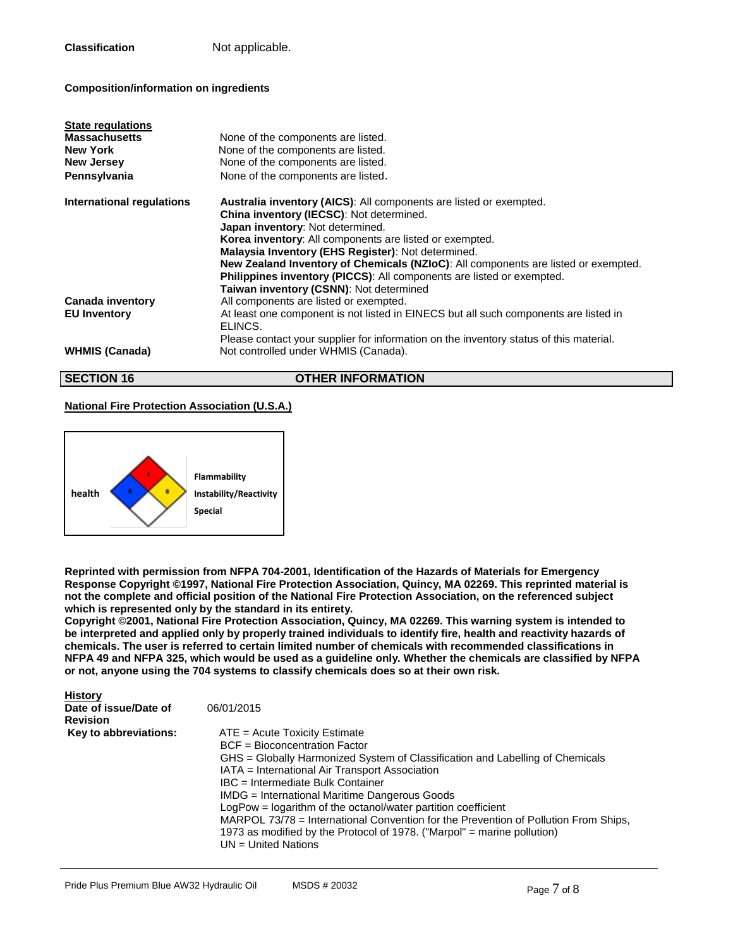**Classification Not applicable.** 

## **Composition/information on ingredients**

| <b>State regulations</b><br><b>Massachusetts</b><br><b>New York</b><br><b>New Jersey</b><br>Pennsylvania | None of the components are listed.<br>None of the components are listed.<br>None of the components are listed.<br>None of the components are listed.                                                                                                                                                                                                                                                                                                                                 |
|----------------------------------------------------------------------------------------------------------|--------------------------------------------------------------------------------------------------------------------------------------------------------------------------------------------------------------------------------------------------------------------------------------------------------------------------------------------------------------------------------------------------------------------------------------------------------------------------------------|
| International regulations                                                                                | <b>Australia inventory (AICS):</b> All components are listed or exempted.<br>China inventory (IECSC): Not determined.<br>Japan inventory: Not determined.<br>Korea inventory: All components are listed or exempted.<br>Malaysia Inventory (EHS Register): Not determined.<br>New Zealand Inventory of Chemicals (NZIoC): All components are listed or exempted.<br>Philippines inventory (PICCS): All components are listed or exempted.<br>Taiwan inventory (CSNN): Not determined |
| Canada inventory<br><b>EU Inventory</b>                                                                  | All components are listed or exempted.<br>At least one component is not listed in EINECS but all such components are listed in<br>ELINCS.                                                                                                                                                                                                                                                                                                                                            |
| <b>WHMIS (Canada)</b>                                                                                    | Please contact your supplier for information on the inventory status of this material.<br>Not controlled under WHMIS (Canada).                                                                                                                                                                                                                                                                                                                                                       |

## **OTHER INFORMATION**

## **National Fire Protection Association (U.S.A.)**



**Reprinted with permission from NFPA 704-2001, Identification of the Hazards of Materials for Emergency Response Copyright ©1997, National Fire Protection Association, Quincy, MA 02269. This reprinted material is not the complete and official position of the National Fire Protection Association, on the referenced subject which is represented only by the standard in its entirety.**

**Copyright ©2001, National Fire Protection Association, Quincy, MA 02269. This warning system is intended to be interpreted and applied only by properly trained individuals to identify fire, health and reactivity hazards of chemicals. The user is referred to certain limited number of chemicals with recommended classifications in NFPA 49 and NFPA 325, which would be used as a guideline only. Whether the chemicals are classified by NFPA or not, anyone using the 704 systems to classify chemicals does so at their own risk.**

| <b>History</b><br>Date of issue/Date of<br><b>Revision</b> | 06/01/2015                                                                                                                                                                                                                                                                                                                                                                                                                                                                                                                                          |
|------------------------------------------------------------|-----------------------------------------------------------------------------------------------------------------------------------------------------------------------------------------------------------------------------------------------------------------------------------------------------------------------------------------------------------------------------------------------------------------------------------------------------------------------------------------------------------------------------------------------------|
| Key to abbreviations:                                      | $ATE = Acute Toxicity Estimate$<br>BCF = Bioconcentration Factor<br>GHS = Globally Harmonized System of Classification and Labelling of Chemicals<br>IATA = International Air Transport Association<br>IBC = Intermediate Bulk Container<br>IMDG = International Maritime Dangerous Goods<br>LogPow = logarithm of the octanol/water partition coefficient<br>MARPOL 73/78 = International Convention for the Prevention of Pollution From Ships,<br>1973 as modified by the Protocol of 1978. ("Marpol" = marine pollution)<br>UN = United Nations |